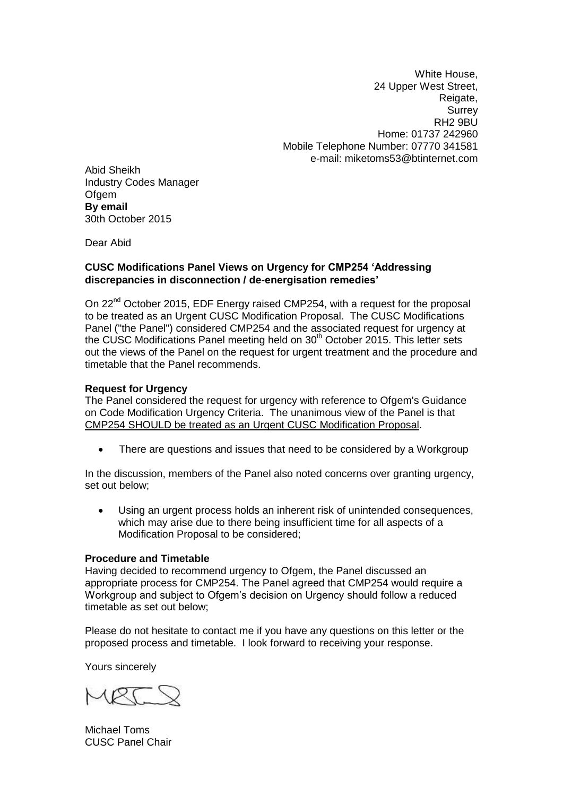White House, 24 Upper West Street, Reigate, **Surrey** RH2 9BU Home: 01737 242960 Mobile Telephone Number: 07770 341581 e-mail: miketoms53@btinternet.com

Abid Sheikh Industry Codes Manager **Ofgem By email** 30th October 2015

Dear Abid

## **CUSC Modifications Panel Views on Urgency for CMP254 'Addressing discrepancies in disconnection / de-energisation remedies'**

On 22<sup>nd</sup> October 2015, EDF Energy raised CMP254, with a request for the proposal to be treated as an Urgent CUSC Modification Proposal. The CUSC Modifications Panel ("the Panel") considered CMP254 and the associated request for urgency at the CUSC Modifications Panel meeting held on 30<sup>th</sup> October 2015. This letter sets out the views of the Panel on the request for urgent treatment and the procedure and timetable that the Panel recommends.

## **Request for Urgency**

The Panel considered the request for urgency with reference to Ofgem's Guidance on Code Modification Urgency Criteria. The unanimous view of the Panel is that CMP254 SHOULD be treated as an Urgent CUSC Modification Proposal.

There are questions and issues that need to be considered by a Workgroup

In the discussion, members of the Panel also noted concerns over granting urgency, set out below;

 Using an urgent process holds an inherent risk of unintended consequences, which may arise due to there being insufficient time for all aspects of a Modification Proposal to be considered;

## **Procedure and Timetable**

Having decided to recommend urgency to Ofgem, the Panel discussed an appropriate process for CMP254. The Panel agreed that CMP254 would require a Workgroup and subject to Ofgem's decision on Urgency should follow a reduced timetable as set out below;

Please do not hesitate to contact me if you have any questions on this letter or the proposed process and timetable. I look forward to receiving your response.

Yours sincerely

Michael Toms CUSC Panel Chair